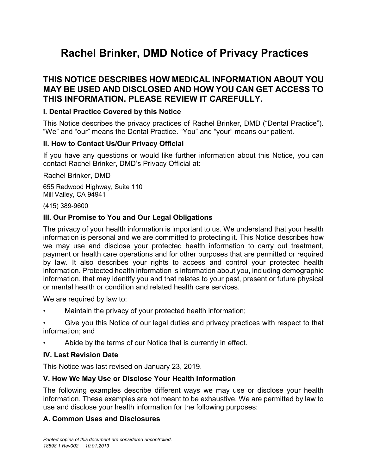# **Rachel Brinker, DMD Notice of Privacy Practices**

# **THIS NOTICE DESCRIBES HOW MEDICAL INFORMATION ABOUT YOU MAY BE USED AND DISCLOSED AND HOW YOU CAN GET ACCESS TO THIS INFORMATION. PLEASE REVIEW IT CAREFULLY.**

### **I. Dental Practice Covered by this Notice**

This Notice describes the privacy practices of Rachel Brinker, DMD ("Dental Practice"). "We" and "our" means the Dental Practice. "You" and "your" means our patient.

#### **II. How to Contact Us/Our Privacy Official**

If you have any questions or would like further information about this Notice, you can contact Rachel Brinker, DMD's Privacy Official at:

Rachel Brinker, DMD

655 Redwood Highway, Suite 110 Mill Valley, CA 94941

#### (415) 389-9600

### **III. Our Promise to You and Our Legal Obligations**

The privacy of your health information is important to us. We understand that your health information is personal and we are committed to protecting it. This Notice describes how we may use and disclose your protected health information to carry out treatment, payment or health care operations and for other purposes that are permitted or required by law. It also describes your rights to access and control your protected health information. Protected health information is information about you, including demographic information, that may identify you and that relates to your past, present or future physical or mental health or condition and related health care services.

We are required by law to:

- Maintain the privacy of your protected health information;
- Give you this Notice of our legal duties and privacy practices with respect to that information; and
- Abide by the terms of our Notice that is currently in effect.

#### **IV. Last Revision Date**

This Notice was last revised on January 23, 2019.

### **V. How We May Use or Disclose Your Health Information**

The following examples describe different ways we may use or disclose your health information. These examples are not meant to be exhaustive. We are permitted by law to use and disclose your health information for the following purposes:

### **A. Common Uses and Disclosures**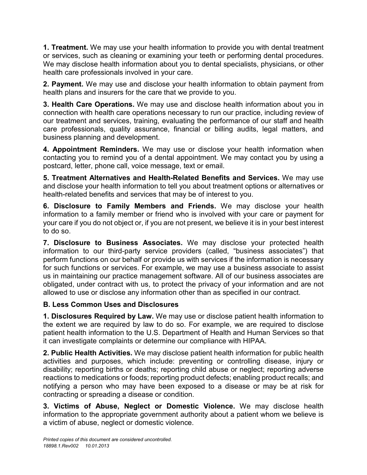**1. Treatment.** We may use your health information to provide you with dental treatment or services, such as cleaning or examining your teeth or performing dental procedures. We may disclose health information about you to dental specialists, physicians, or other health care professionals involved in your care.

**2. Payment.** We may use and disclose your health information to obtain payment from health plans and insurers for the care that we provide to you.

**3. Health Care Operations.** We may use and disclose health information about you in connection with health care operations necessary to run our practice, including review of our treatment and services, training, evaluating the performance of our staff and health care professionals, quality assurance, financial or billing audits, legal matters, and business planning and development.

**4. Appointment Reminders.** We may use or disclose your health information when contacting you to remind you of a dental appointment. We may contact you by using a postcard, letter, phone call, voice message, text or email.

**5. Treatment Alternatives and Health-Related Benefits and Services.** We may use and disclose your health information to tell you about treatment options or alternatives or health-related benefits and services that may be of interest to you.

**6. Disclosure to Family Members and Friends.** We may disclose your health information to a family member or friend who is involved with your care or payment for your care if you do not object or, if you are not present, we believe it is in your best interest to do so.

**7. Disclosure to Business Associates.** We may disclose your protected health information to our third-party service providers (called, "business associates") that perform functions on our behalf or provide us with services if the information is necessary for such functions or services. For example, we may use a business associate to assist us in maintaining our practice management software. All of our business associates are obligated, under contract with us, to protect the privacy of your information and are not allowed to use or disclose any information other than as specified in our contract.

# **B. Less Common Uses and Disclosures**

**1. Disclosures Required by Law.** We may use or disclose patient health information to the extent we are required by law to do so. For example, we are required to disclose patient health information to the U.S. Department of Health and Human Services so that it can investigate complaints or determine our compliance with HIPAA.

**2. Public Health Activities.** We may disclose patient health information for public health activities and purposes, which include: preventing or controlling disease, injury or disability; reporting births or deaths; reporting child abuse or neglect; reporting adverse reactions to medications or foods; reporting product defects; enabling product recalls; and notifying a person who may have been exposed to a disease or may be at risk for contracting or spreading a disease or condition.

**3. Victims of Abuse, Neglect or Domestic Violence.** We may disclose health information to the appropriate government authority about a patient whom we believe is a victim of abuse, neglect or domestic violence.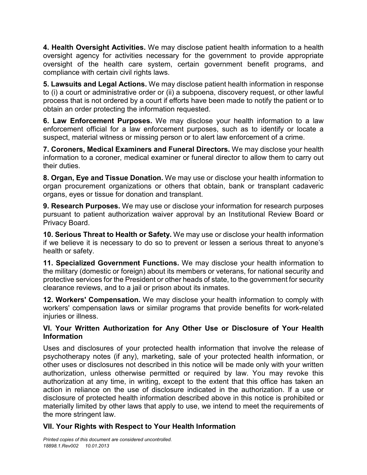**4. Health Oversight Activities.** We may disclose patient health information to a health oversight agency for activities necessary for the government to provide appropriate oversight of the health care system, certain government benefit programs, and compliance with certain civil rights laws.

**5. Lawsuits and Legal Actions.** We may disclose patient health information in response to (i) a court or administrative order or (ii) a subpoena, discovery request, or other lawful process that is not ordered by a court if efforts have been made to notify the patient or to obtain an order protecting the information requested.

**6. Law Enforcement Purposes.** We may disclose your health information to a law enforcement official for a law enforcement purposes, such as to identify or locate a suspect, material witness or missing person or to alert law enforcement of a crime.

**7. Coroners, Medical Examiners and Funeral Directors.** We may disclose your health information to a coroner, medical examiner or funeral director to allow them to carry out their duties.

**8. Organ, Eye and Tissue Donation.** We may use or disclose your health information to organ procurement organizations or others that obtain, bank or transplant cadaveric organs, eyes or tissue for donation and transplant.

**9. Research Purposes.** We may use or disclose your information for research purposes pursuant to patient authorization waiver approval by an Institutional Review Board or Privacy Board.

**10. Serious Threat to Health or Safety.** We may use or disclose your health information if we believe it is necessary to do so to prevent or lessen a serious threat to anyone's health or safety.

**11. Specialized Government Functions.** We may disclose your health information to the military (domestic or foreign) about its members or veterans, for national security and protective services for the President or other heads of state, to the government for security clearance reviews, and to a jail or prison about its inmates.

**12. Workers' Compensation.** We may disclose your health information to comply with workers' compensation laws or similar programs that provide benefits for work-related injuries or illness.

### **VI. Your Written Authorization for Any Other Use or Disclosure of Your Health Information**

Uses and disclosures of your protected health information that involve the release of psychotherapy notes (if any), marketing, sale of your protected health information, or other uses or disclosures not described in this notice will be made only with your written authorization, unless otherwise permitted or required by law. You may revoke this authorization at any time, in writing, except to the extent that this office has taken an action in reliance on the use of disclosure indicated in the authorization. If a use or disclosure of protected health information described above in this notice is prohibited or materially limited by other laws that apply to use, we intend to meet the requirements of the more stringent law.

# **VII. Your Rights with Respect to Your Health Information**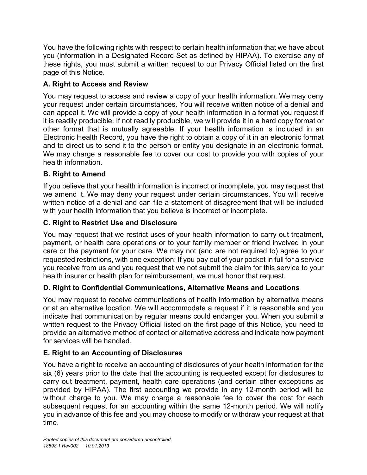You have the following rights with respect to certain health information that we have about you (information in a Designated Record Set as defined by HIPAA). To exercise any of these rights, you must submit a written request to our Privacy Official listed on the first page of this Notice.

# **A. Right to Access and Review**

You may request to access and review a copy of your health information. We may deny your request under certain circumstances. You will receive written notice of a denial and can appeal it. We will provide a copy of your health information in a format you request if it is readily producible. If not readily producible, we will provide it in a hard copy format or other format that is mutually agreeable. If your health information is included in an Electronic Health Record, you have the right to obtain a copy of it in an electronic format and to direct us to send it to the person or entity you designate in an electronic format. We may charge a reasonable fee to cover our cost to provide you with copies of your health information.

# **B. Right to Amend**

If you believe that your health information is incorrect or incomplete, you may request that we amend it. We may deny your request under certain circumstances. You will receive written notice of a denial and can file a statement of disagreement that will be included with your health information that you believe is incorrect or incomplete.

# **C. Right to Restrict Use and Disclosure**

You may request that we restrict uses of your health information to carry out treatment, payment, or health care operations or to your family member or friend involved in your care or the payment for your care. We may not (and are not required to) agree to your requested restrictions, with one exception: If you pay out of your pocket in full for a service you receive from us and you request that we not submit the claim for this service to your health insurer or health plan for reimbursement, we must honor that request.

# **D. Right to Confidential Communications, Alternative Means and Locations**

You may request to receive communications of health information by alternative means or at an alternative location. We will accommodate a request if it is reasonable and you indicate that communication by regular means could endanger you. When you submit a written request to the Privacy Official listed on the first page of this Notice, you need to provide an alternative method of contact or alternative address and indicate how payment for services will be handled.

# **E. Right to an Accounting of Disclosures**

You have a right to receive an accounting of disclosures of your health information for the six (6) years prior to the date that the accounting is requested except for disclosures to carry out treatment, payment, health care operations (and certain other exceptions as provided by HIPAA). The first accounting we provide in any 12-month period will be without charge to you. We may charge a reasonable fee to cover the cost for each subsequent request for an accounting within the same 12-month period. We will notify you in advance of this fee and you may choose to modify or withdraw your request at that time.